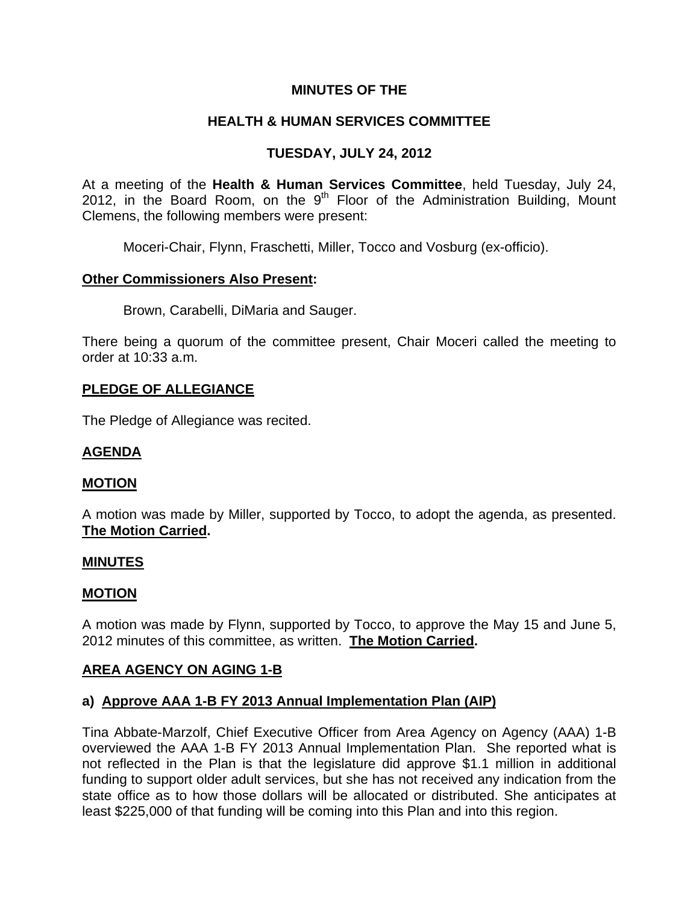# **MINUTES OF THE**

# **HEALTH & HUMAN SERVICES COMMITTEE**

# **TUESDAY, JULY 24, 2012**

At a meeting of the **Health & Human Services Committee**, held Tuesday, July 24, 2012, in the Board Room, on the  $9<sup>th</sup>$  Floor of the Administration Building, Mount Clemens, the following members were present:

Moceri-Chair, Flynn, Fraschetti, Miller, Tocco and Vosburg (ex-officio).

# **Other Commissioners Also Present:**

Brown, Carabelli, DiMaria and Sauger.

There being a quorum of the committee present, Chair Moceri called the meeting to order at 10:33 a.m.

# **PLEDGE OF ALLEGIANCE**

The Pledge of Allegiance was recited.

# **AGENDA**

### **MOTION**

A motion was made by Miller, supported by Tocco, to adopt the agenda, as presented. **The Motion Carried.** 

### **MINUTES**

### **MOTION**

A motion was made by Flynn, supported by Tocco, to approve the May 15 and June 5, 2012 minutes of this committee, as written. **The Motion Carried.** 

### **AREA AGENCY ON AGING 1-B**

# **a) Approve AAA 1-B FY 2013 Annual Implementation Plan (AIP)**

Tina Abbate-Marzolf, Chief Executive Officer from Area Agency on Agency (AAA) 1-B overviewed the AAA 1-B FY 2013 Annual Implementation Plan. She reported what is not reflected in the Plan is that the legislature did approve \$1.1 million in additional funding to support older adult services, but she has not received any indication from the state office as to how those dollars will be allocated or distributed. She anticipates at least \$225,000 of that funding will be coming into this Plan and into this region.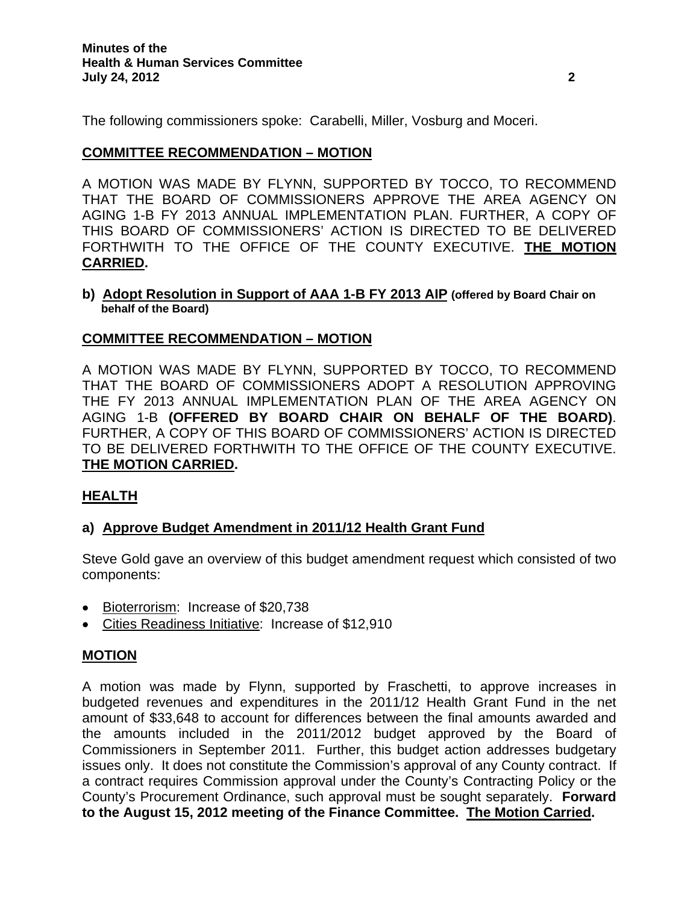The following commissioners spoke: Carabelli, Miller, Vosburg and Moceri.

# **COMMITTEE RECOMMENDATION – MOTION**

A MOTION WAS MADE BY FLYNN, SUPPORTED BY TOCCO, TO RECOMMEND THAT THE BOARD OF COMMISSIONERS APPROVE THE AREA AGENCY ON AGING 1-B FY 2013 ANNUAL IMPLEMENTATION PLAN. FURTHER, A COPY OF THIS BOARD OF COMMISSIONERS' ACTION IS DIRECTED TO BE DELIVERED FORTHWITH TO THE OFFICE OF THE COUNTY EXECUTIVE. **THE MOTION CARRIED.** 

#### **b) Adopt Resolution in Support of AAA 1-B FY 2013 AIP (offered by Board Chair on behalf of the Board)**

# **COMMITTEE RECOMMENDATION – MOTION**

A MOTION WAS MADE BY FLYNN, SUPPORTED BY TOCCO, TO RECOMMEND THAT THE BOARD OF COMMISSIONERS ADOPT A RESOLUTION APPROVING THE FY 2013 ANNUAL IMPLEMENTATION PLAN OF THE AREA AGENCY ON AGING 1-B **(OFFERED BY BOARD CHAIR ON BEHALF OF THE BOARD)**. FURTHER, A COPY OF THIS BOARD OF COMMISSIONERS' ACTION IS DIRECTED TO BE DELIVERED FORTHWITH TO THE OFFICE OF THE COUNTY EXECUTIVE. **THE MOTION CARRIED.** 

### **HEALTH**

### **a) Approve Budget Amendment in 2011/12 Health Grant Fund**

Steve Gold gave an overview of this budget amendment request which consisted of two components:

- Bioterrorism: Increase of \$20,738
- Cities Readiness Initiative: Increase of \$12,910

### **MOTION**

A motion was made by Flynn, supported by Fraschetti, to approve increases in budgeted revenues and expenditures in the 2011/12 Health Grant Fund in the net amount of \$33,648 to account for differences between the final amounts awarded and the amounts included in the 2011/2012 budget approved by the Board of Commissioners in September 2011. Further, this budget action addresses budgetary issues only. It does not constitute the Commission's approval of any County contract. If a contract requires Commission approval under the County's Contracting Policy or the County's Procurement Ordinance, such approval must be sought separately. **Forward to the August 15, 2012 meeting of the Finance Committee. The Motion Carried.**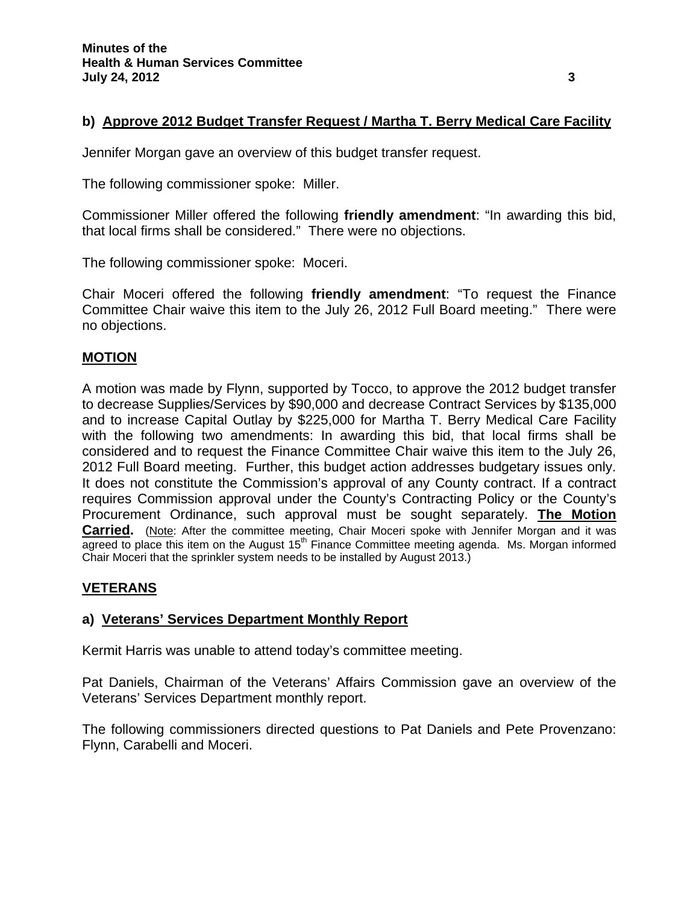# **b) Approve 2012 Budget Transfer Request / Martha T. Berry Medical Care Facility**

Jennifer Morgan gave an overview of this budget transfer request.

The following commissioner spoke: Miller.

Commissioner Miller offered the following **friendly amendment**: "In awarding this bid, that local firms shall be considered." There were no objections.

The following commissioner spoke: Moceri.

Chair Moceri offered the following **friendly amendment**: "To request the Finance Committee Chair waive this item to the July 26, 2012 Full Board meeting." There were no objections.

# **MOTION**

A motion was made by Flynn, supported by Tocco, to approve the 2012 budget transfer to decrease Supplies/Services by \$90,000 and decrease Contract Services by \$135,000 and to increase Capital Outlay by \$225,000 for Martha T. Berry Medical Care Facility with the following two amendments: In awarding this bid, that local firms shall be considered and to request the Finance Committee Chair waive this item to the July 26, 2012 Full Board meeting. Further, this budget action addresses budgetary issues only. It does not constitute the Commission's approval of any County contract. If a contract requires Commission approval under the County's Contracting Policy or the County's Procurement Ordinance, such approval must be sought separately. **The Motion Carried.** (Note: After the committee meeting, Chair Moceri spoke with Jennifer Morgan and it was  $\overline{a}$  agreed to place this item on the August 15<sup>th</sup> Finance Committee meeting agenda. Ms. Morgan informed Chair Moceri that the sprinkler system needs to be installed by August 2013.)

# **VETERANS**

# **a) Veterans' Services Department Monthly Report**

Kermit Harris was unable to attend today's committee meeting.

Pat Daniels, Chairman of the Veterans' Affairs Commission gave an overview of the Veterans' Services Department monthly report.

The following commissioners directed questions to Pat Daniels and Pete Provenzano: Flynn, Carabelli and Moceri.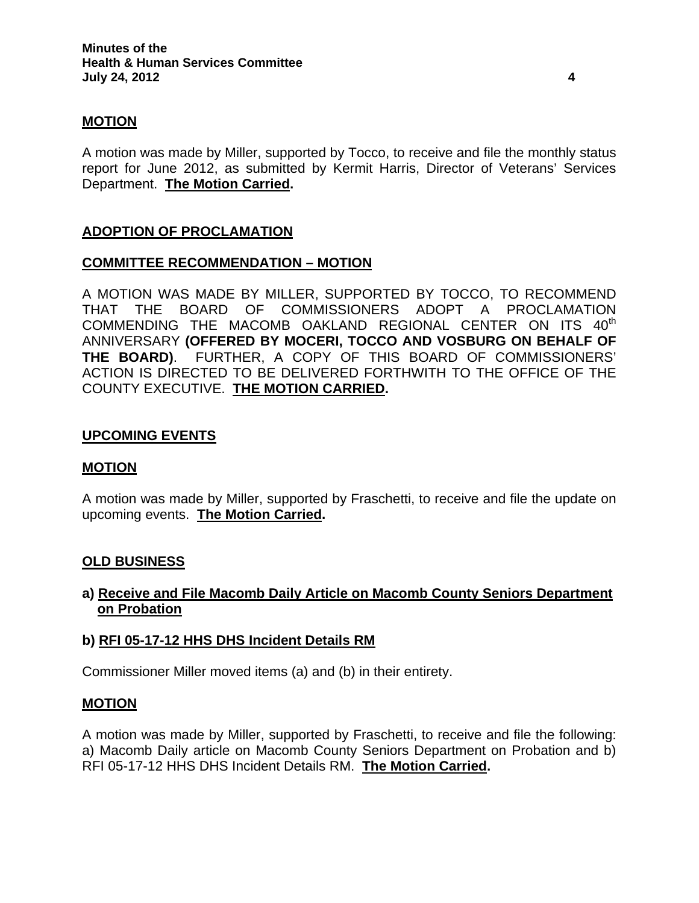# **MOTION**

A motion was made by Miller, supported by Tocco, to receive and file the monthly status report for June 2012, as submitted by Kermit Harris, Director of Veterans' Services Department. **The Motion Carried.** 

# **ADOPTION OF PROCLAMATION**

### **COMMITTEE RECOMMENDATION – MOTION**

A MOTION WAS MADE BY MILLER, SUPPORTED BY TOCCO, TO RECOMMEND THAT THE BOARD OF COMMISSIONERS ADOPT A PROCLAMATION COMMENDING THE MACOMB OAKLAND REGIONAL CENTER ON ITS 40<sup>th</sup> ANNIVERSARY **(OFFERED BY MOCERI, TOCCO AND VOSBURG ON BEHALF OF THE BOARD)**. FURTHER, A COPY OF THIS BOARD OF COMMISSIONERS' ACTION IS DIRECTED TO BE DELIVERED FORTHWITH TO THE OFFICE OF THE COUNTY EXECUTIVE. **THE MOTION CARRIED.** 

### **UPCOMING EVENTS**

### **MOTION**

A motion was made by Miller, supported by Fraschetti, to receive and file the update on upcoming events. **The Motion Carried.** 

### **OLD BUSINESS**

# **a) Receive and File Macomb Daily Article on Macomb County Seniors Department on Probation**

### **b) RFI 05-17-12 HHS DHS Incident Details RM**

Commissioner Miller moved items (a) and (b) in their entirety.

### **MOTION**

A motion was made by Miller, supported by Fraschetti, to receive and file the following: a) Macomb Daily article on Macomb County Seniors Department on Probation and b) RFI 05-17-12 HHS DHS Incident Details RM. **The Motion Carried.**